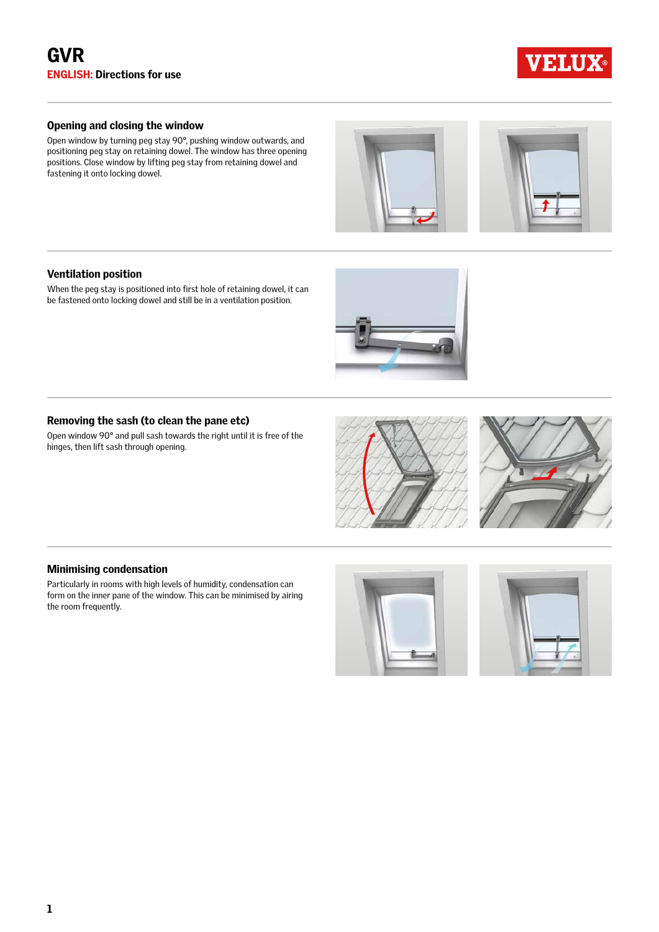

# Opening and closing the window

Open window by turning peg stay 90°, pushing window outwards, and positioning peg stay on retaining dowel. The window has three opening positions. Close window by lifting peg stay from retaining dowel and fastening it onto locking dowel.





# Ventilation position

When the peg stay is positioned into first hole of retaining dowel, it can be fastened onto locking dowel and still be in a ventilation position.



Open window 90° and pull sash towards the right until it is free of the hinges, then lift sash through opening.





# Minimising condensation

Particularly in rooms with high levels of humidity, condensation can form on the inner pane of the window. This can be minimised by airing the room frequently.